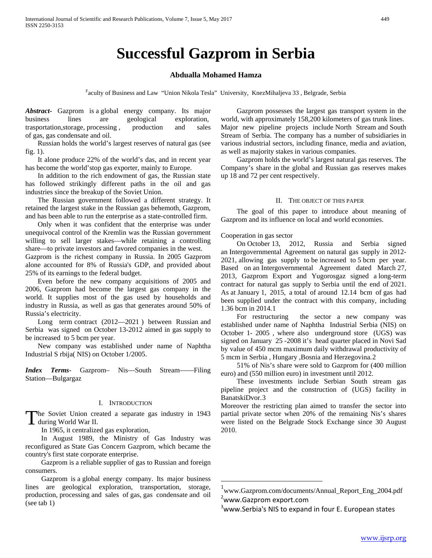# **Successful Gazprom in Serbia**

# **Abdualla Mohamed Hamza**

Faculty of Business and Law "Union Nikola Tesla" University, KnezMihaljeva 33, Belgrade, Serbia

*Abstract***-** Gazprom is a global energy company. Its major business lines are geological exploration, trasportation, storage, processing, production and sales of gas, gas condensate and oil.

 Russian holds the world's largest reserves of natural gas (see fig. 1).

 It alone produce 22% of the world's das, and in recent year has become the world'stop gas exporter, mainly to Europe.

 In addition to the rich endowment of gas, the Russian state has followed strikingly different paths in the oil and gas industries since the breakup of the Soviet Union.

 The Russian government followed a different strategy. It retained the largest stake in the Russian gas behemoth, Gazprom, and has been able to run the enterprise as a state-controlled firm.

 Only when it was confident that the enterprise was under unequivocal control of the Kremlin was the Russian government willing to sell larger stakes—while retaining a controlling share—to private investors and favored companies in the west.

Gazprom is the richest company in Russia. In 2005 Gazprom alone accounted for 8% of Russia's GDP, and provided about 25% of its earnings to the federal budget.

 Even before the new company acquisitions of 2005 and 2006, Gazprom had become the largest gas company in the world. It supplies most of the gas used by households and industry in Russia, as well as gas that generates around 50% of Russia's electricity.

 Long term contract (2012—2021 ) between Russian and Serbia was signed on October 13-2012 aimed in gas supply to be increased to 5 bcm per year.

 New company was established under name of Naphtha Industrial S rbija( NIS) on October 1/2005.

*Index Terms*- Gazprom– Nis—South Stream——Filing Station—Bulgargaz

#### I. INTRODUCTION

he Soviet Union created a separate gas industry in 1943 The Soviet Union created War II.

In 1965, it centralized gas exploration,

 In August 1989, the Ministry of Gas Industry was reconfigured as State Gas Concern Gazprom, which became the country's first state corporate enterprise.

 Gazprom is a reliable supplier of gas to Russian and foreign consumers.

<span id="page-0-0"></span> Gazprom is a global energy company. Its major business lines are geological exploration, transportation, storage, production, processing and sales of gas, gas condensate and oil (see tab 1)

 Gazprom possesses the largest gas transport system in the world, with approximately 158,200 kilometers of gas trunk lines. Major new pipeline projects include North Stream and South Stream of Serbia. The company has a number of subsidiaries in various industrial sectors, including finance, media and aviation, as well as majority stakes in various companies.

 Gazprom holds the world's largest natural gas reserves. The Company's share in the global and Russian gas reserves makes up 18 and 72 per cent respectively.

#### II. THE OBJECT OF THIS PAPER

 The goal of this paper to introduce about meaning of Gazprom and its influence on local and world economies.

Cooperation in gas sector

 On October 13, 2012, Russia and Serbia signed an Intergovernmental Agreement on natural gas supply in 2012- 2021, allowing gas supply to be increased to 5 bcm per year. Based on an Intergovernmental Agreement dated March 27, 2013, Gazprom Export and Yugorosgaz signed a long-term contract for natural gas supply to Serbia until the end of 2021. As at January 1, 2015, a total of around 12.14 bcm of gas had been supplied under the contract with this company, including 1.36 bcm in 2014.1

 For restructuring the sector a new company was established under name of Naphtha Industrial Serbia (NIS) on October 1- 2005 , where also underground store (UGS) was signed on January 25 -2008 it's head quarter placed in Novi Sad by value of 450 mcm maximum daily withdrawal productivity of 5 mcm in Serbia , Hungary ,Bosnia and Herzegovina.*1F*2

 51% of Nis's share were sold to Gazprom for (400 million euro) and (550 million euro) in investment until 2012.

 These investments include Serbian South stream gas pipeline project and the construction of (UGS) facility in BanatskiDvor.<sup>3</sup>

Moreover the restricting plan aimed to transfer the sector into partial private sector when 20% of the remaining Nis's shares were listed on the Belgrade Stock Exchange since 30 August 2010.

<sup>3</sup>www[.Serbia's NIS to expand in four E. European states](http://af.reuters.com/article/energyOilNews/idAFLDE78108720110902)

 <sup>1</sup> www.Gazprom.com/documents/Annual\_Report\_Eng\_2004.pdf <sup>2</sup>[www.Gazprom](http://www.gazprom/) export.com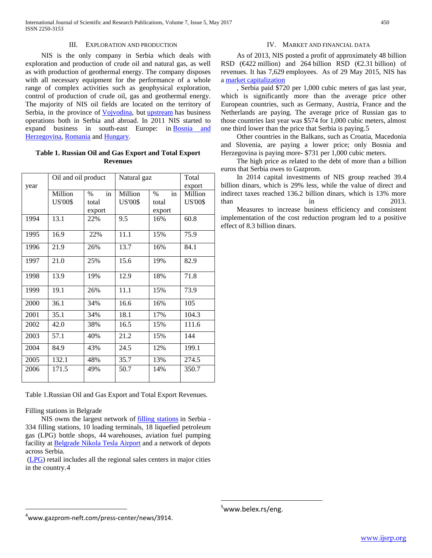#### III. EXPLORATION AND PRODUCTION

 NIS is the only company in Serbia which deals with exploration and production of crude oil and natural gas, as well as with production of geothermal energy. The company disposes with all necessary equipment for the performance of a whole range of complex activities such as geophysical exploration, control of production of crude oil, gas and geothermal energy. The majority of NIS oil fields are located on the territory of Serbia, in the province of **Vojvodina**, but [upstream](https://en.wikipedia.org/wiki/Upstream_(petroleum_industry)) has business operations both in Serbia and abroad. In 2011 NIS started to expand business in south-east Europe: in [Bosnia and](https://en.wikipedia.org/wiki/Bosnia_and_Herzegovina)  [Herzegovina,](https://en.wikipedia.org/wiki/Bosnia_and_Herzegovina) [Romania](https://en.wikipedia.org/wiki/Romania) and [Hungary.](https://en.wikipedia.org/wiki/Hungary)

# **Table 1. Russian Oil and Gas Export and Total Export Revenues**

| year | Oil and oil product       |                               | Natural gaz               |                                                | Total<br>export           |
|------|---------------------------|-------------------------------|---------------------------|------------------------------------------------|---------------------------|
|      | Million<br><b>US'00\$</b> | in<br>$\%$<br>total<br>export | Million<br><b>US'00\$</b> | $\operatorname{in}$<br>$\%$<br>total<br>export | Million<br><b>US'00\$</b> |
| 1994 | 13.1                      | 22%                           | 9.5                       | 16%                                            | 60.8                      |
| 1995 | 16.9                      | 22%                           | 11.1                      | 15%                                            | 75.9                      |
| 1996 | 21.9                      | 26%                           | 13.7                      | 16%                                            | 84.1                      |
| 1997 | 21.0                      | 25%                           | 15.6                      | 19%                                            | 82.9                      |
| 1998 | 13.9                      | 19%                           | 12.9                      | 18%                                            | 71.8                      |
| 1999 | 19.1                      | 26%                           | 11.1                      | 15%                                            | 73.9                      |
| 2000 | 36.1                      | 34%                           | 16.6                      | 16%                                            | 105                       |
| 2001 | 35.1                      | 34%                           | 18.1                      | 17%                                            | 104.3                     |
| 2002 | 42.0                      | 38%                           | 16.5                      | 15%                                            | 111.6                     |
| 2003 | 57.1                      | 40%                           | 21.2                      | 15%                                            | 144                       |
| 2004 | 84.9                      | 43%                           | 24.5                      | 12%                                            | 199.1                     |
| 2005 | 132.1                     | 48%                           | 35.7                      | 13%                                            | 274.5                     |
| 2006 | 171.5                     | 49%                           | 50.7                      | 14%                                            | 350.7                     |

Table 1.Russian Oil and Gas Export and Total Export Revenues.

## Filling stations in Belgrade

<span id="page-1-1"></span><span id="page-1-0"></span> $\overline{a}$ 

NIS owns the largest network of **filling** stations in Serbia -334 filling stations, 10 loading terminals, 18 liquefied petroleum gas (LPG) bottle shops, 44 warehouses, aviation fuel pumping facility at [Belgrade Nikola Tesla Airport](https://en.wikipedia.org/wiki/Belgrade_Nikola_Tesla_Airport) and a network of depots across Serbia.

[\(LPG\)](https://en.wikipedia.org/wiki/Liquefied_petroleum_gas) retail includes all the regional sales centers in major cities in the country.[4](#page-0-0)

 $^4$ www.gazprom-neft.com/press-center/news/3914.

## IV. MARKET AND FINANCIAL DATA

 As of 2013, NIS posted a profit of approximately 48 billion RSD ( $\bigoplus$ 22 million) and 264 billion RSD ( $\bigoplus$ .31 billion) of revenues. It has 7,629 employees. As of 29 May 2015, NIS has a [market capitalization](https://en.wikipedia.org/wiki/Market_capitalization)

 , Serbia paid \$720 per 1,000 cubic meters of gas last year, which is significantly more than the average price other European countries, such as Germany, Austria, France and the Netherlands are paying. The average price of Russian gas to those countries last year was \$574 for 1,000 cubic meters, almost one third lower than the price that Serbia is paying.[5](#page-1-0)

 Other countries in the Balkans, such as Croatia, Macedonia and Slovenia, are paying a lower price; only Bosnia and Herzegovina is paying more- \$731 per 1,000 cubic meters.

 The high price as related to the debt of more than a billion euros that Serbia owes to Gazprom.

 In 2014 capital investments of NIS group reached 39.4 billion dinars, which is 29% less, while the value of direct and indirect taxes reached 136.2 billion dinars, which is 13% more  $\ln$  11  $\ln$  2013.

 Measures to increase business efficiency and consistent implementation of the cost reduction program led to a positive effect of 8.3 billion dinars.

 $\overline{a}$ 

<sup>&</sup>lt;sup>5</sup>www.belex.rs/eng.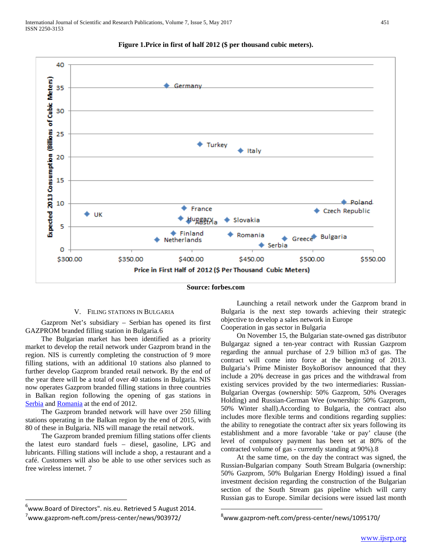

# **Figure 1.Price in first of half 2012 (\$ per thousand cubic meters).**

**Source: forbes.com**

 $\overline{a}$ 

## V. FILING STATIONS IN BULGARIA

 Gazprom Net's subsidiary – Serbian has opened its first GAZPROM branded filling station in Bulgaria.[6](#page-1-1)

 The Bulgarian market has been identified as a priority market to develop the retail network under Gazprom brand in the region. NIS is currently completing the construction of 9 more filling stations, with an additional 10 stations also planned to further develop Gazprom branded retail network. By the end of the year there will be a total of over 40 stations in Bulgaria. NIS now operates Gazprom branded filling stations in three countries in Balkan region following the opening of gas stations in [Serbia](http://www.gazprom-neft.com/press-center/news/903972/) and [Romania](http://www.gazprom-neft.com/press-center/news/919867/) at the end of 2012.

 The Gazprom branded network will have over 250 filling stations operating in the Balkan region by the end of 2015, with 80 of these in Bulgaria. NIS will manage the retail network.

 The Gazprom branded premium filling stations offer clients the latest euro standard fuels – diesel, gasoline, LPG and lubricants. Filling stations will include a shop, a restaurant and a café. Customers will also be able to use other services such as free wireless internet. [7](#page-2-0)

 $\overline{a}$ 

 Launching a retail network under the Gazprom brand in Bulgaria is the next step towards achieving their strategic objective to develop a sales network in Europe

Cooperation in gas sector in Bulgaria

 On November 15, the Bulgarian state-owned gas distributor Bulgargaz signed a ten-year contract with Russian Gazprom regarding the annual purchase of 2.9 billion m3 of gas. The contract will come into force at the beginning of 2013. Bulgaria's Prime Minister BoykoBorisov announced that they include a 20% decrease in gas prices and the withdrawal from existing services provided by the two intermediaries: Russian-Bulgarian Overgas (ownership: 50% Gazprom, 50% Overages Holding) and Russian-German Wee (ownership: 50% Gazprom, 50% Winter shall).According to Bulgaria, the contract also includes more flexible terms and conditions regarding supplies: the ability to renegotiate the contract after six years following its establishment and a more favorable 'take or pay' clause (the level of compulsory payment has been set at 80% of the contracted volume of gas - currently standing at 90%).[8](#page-2-0)

 At the same time, on the day the contract was signed, the Russian-Bulgarian company South Stream Bulgaria (ownership: 50% Gazprom, 50% Bulgarian Energy Holding) issued a final investment decision regarding the construction of the Bulgarian section of the South Stream gas pipeline which will carry Russian gas to Europe. Similar decisions were issued last month

 $^6$ [www.Board of Directors".](http://www.nis.eu/en/about-us/company-information/management/board-of-directors) nis.eu. Retrieved 5 August 2014.

<span id="page-2-0"></span><sup>7</sup> www.gazprom-neft.com/press-center/news/903972/

<sup>8</sup> [www.gazprom-neft.com/press-center/news/1095170/](http://www.gazprom-neft.com/press-center/news/1095170/)